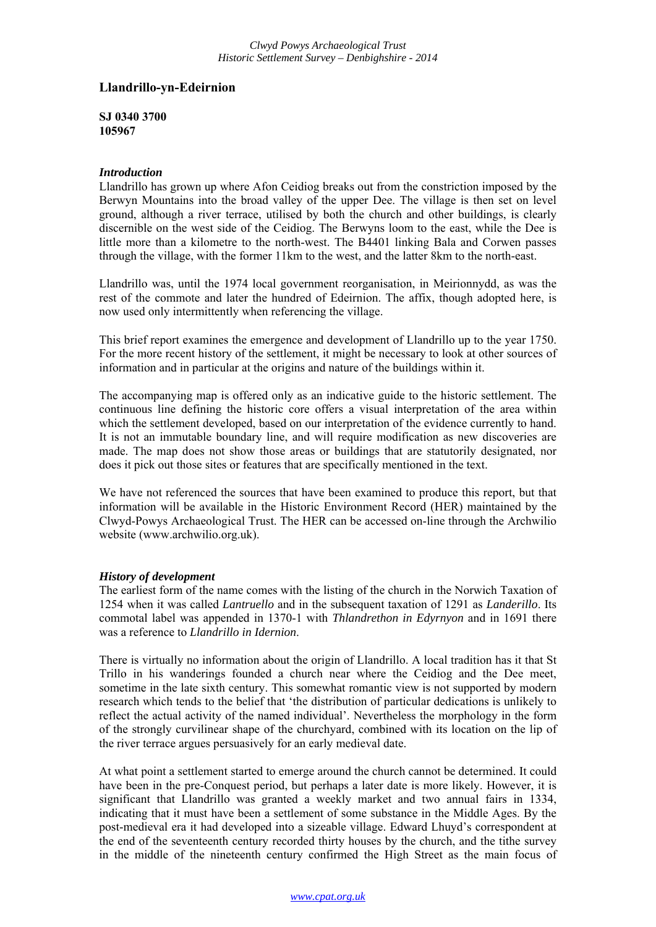## **Llandrillo-yn-Edeirnion**

**SJ 0340 3700 105967**

## *Introduction*

Llandrillo has grown up where Afon Ceidiog breaks out from the constriction imposed by the Berwyn Mountains into the broad valley of the upper Dee. The village is then set on level ground, although a river terrace, utilised by both the church and other buildings, is clearly discernible on the west side of the Ceidiog. The Berwyns loom to the east, while the Dee is little more than a kilometre to the north-west. The B4401 linking Bala and Corwen passes through the village, with the former 11km to the west, and the latter 8km to the north-east.

Llandrillo was, until the 1974 local government reorganisation, in Meirionnydd, as was the rest of the commote and later the hundred of Edeirnion. The affix, though adopted here, is now used only intermittently when referencing the village.

This brief report examines the emergence and development of Llandrillo up to the year 1750. For the more recent history of the settlement, it might be necessary to look at other sources of information and in particular at the origins and nature of the buildings within it.

The accompanying map is offered only as an indicative guide to the historic settlement. The continuous line defining the historic core offers a visual interpretation of the area within which the settlement developed, based on our interpretation of the evidence currently to hand. It is not an immutable boundary line, and will require modification as new discoveries are made. The map does not show those areas or buildings that are statutorily designated, nor does it pick out those sites or features that are specifically mentioned in the text.

We have not referenced the sources that have been examined to produce this report, but that information will be available in the Historic Environment Record (HER) maintained by the Clwyd-Powys Archaeological Trust. The HER can be accessed on-line through the Archwilio website (www.archwilio.org.uk).

## *History of development*

The earliest form of the name comes with the listing of the church in the Norwich Taxation of 1254 when it was called *Lantruello* and in the subsequent taxation of 1291 as *Landerillo*. Its commotal label was appended in 1370-1 with *Thlandrethon in Edyrnyon* and in 1691 there was a reference to *Llandrillo in Idernion*.

There is virtually no information about the origin of Llandrillo. A local tradition has it that St Trillo in his wanderings founded a church near where the Ceidiog and the Dee meet, sometime in the late sixth century. This somewhat romantic view is not supported by modern research which tends to the belief that 'the distribution of particular dedications is unlikely to reflect the actual activity of the named individual'. Nevertheless the morphology in the form of the strongly curvilinear shape of the churchyard, combined with its location on the lip of the river terrace argues persuasively for an early medieval date.

At what point a settlement started to emerge around the church cannot be determined. It could have been in the pre-Conquest period, but perhaps a later date is more likely. However, it is significant that Llandrillo was granted a weekly market and two annual fairs in 1334, indicating that it must have been a settlement of some substance in the Middle Ages. By the post-medieval era it had developed into a sizeable village. Edward Lhuyd's correspondent at the end of the seventeenth century recorded thirty houses by the church, and the tithe survey in the middle of the nineteenth century confirmed the High Street as the main focus of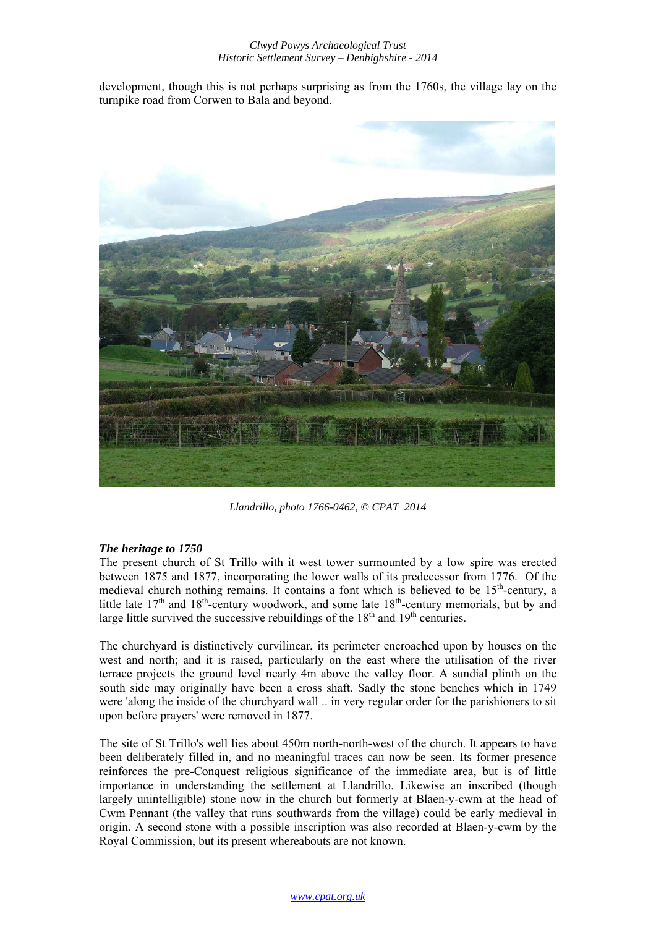development, though this is not perhaps surprising as from the 1760s, the village lay on the turnpike road from Corwen to Bala and beyond.



*Llandrillo, photo 1766-0462, © CPAT 2014*

## *The heritage to 1750*

The present church of St Trillo with it west tower surmounted by a low spire was erected between 1875 and 1877, incorporating the lower walls of its predecessor from 1776. Of the medieval church nothing remains. It contains a font which is believed to be  $15<sup>th</sup>$ -century, a little late  $17<sup>th</sup>$  and  $18<sup>th</sup>$ -century woodwork, and some late  $18<sup>th</sup>$ -century memorials, but by and large little survived the successive rebuildings of the  $18<sup>th</sup>$  and  $19<sup>th</sup>$  centuries.

The churchyard is distinctively curvilinear, its perimeter encroached upon by houses on the west and north; and it is raised, particularly on the east where the utilisation of the river terrace projects the ground level nearly 4m above the valley floor. A sundial plinth on the south side may originally have been a cross shaft. Sadly the stone benches which in 1749 were 'along the inside of the churchyard wall .. in very regular order for the parishioners to sit upon before prayers' were removed in 1877.

The site of St Trillo's well lies about 450m north-north-west of the church. It appears to have been deliberately filled in, and no meaningful traces can now be seen. Its former presence reinforces the pre-Conquest religious significance of the immediate area, but is of little importance in understanding the settlement at Llandrillo. Likewise an inscribed (though largely unintelligible) stone now in the church but formerly at Blaen-y-cwm at the head of Cwm Pennant (the valley that runs southwards from the village) could be early medieval in origin. A second stone with a possible inscription was also recorded at Blaen-y-cwm by the Royal Commission, but its present whereabouts are not known.